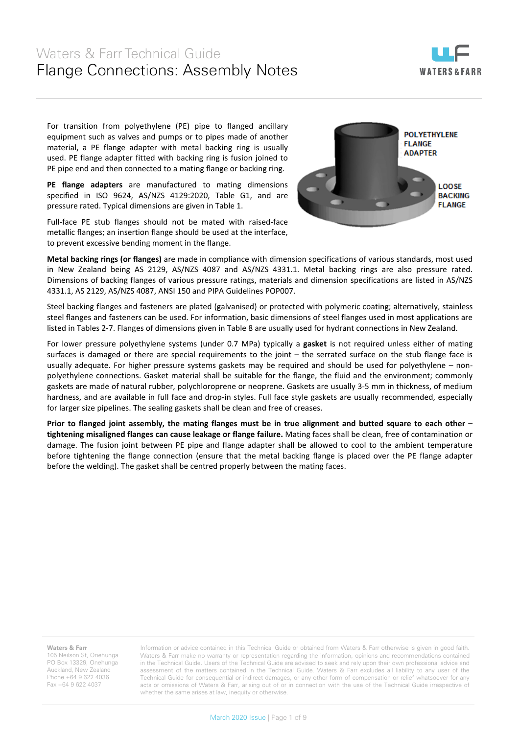

For transition from polyethylene (PE) pipe to flanged ancillary equipment such as valves and pumps or to pipes made of another material, a PE flange adapter with metal backing ring is usually used. PE flange adapter fitted with backing ring is fusion joined to PE pipe end and then connected to a mating flange or backing ring.

**PE flange adapters** are manufactured to mating dimensions specified in ISO 9624, AS/NZS 4129:2020, Table G1, and are pressure rated. Typical dimensions are given in Table 1.

Full-face PE stub flanges should not be mated with raised-face metallic flanges; an insertion flange should be used at the interface, to prevent excessive bending moment in the flange.



**Metal backing rings (or flanges)** are made in compliance with dimension specifications of various standards, most used in New Zealand being AS 2129, AS/NZS 4087 and AS/NZS 4331.1. Metal backing rings are also pressure rated. Dimensions of backing flanges of various pressure ratings, materials and dimension specifications are listed in AS/NZS 4331.1, AS 2129, AS/NZS 4087, ANSI 150 and PIPA Guidelines POP007.

Steel backing flanges and fasteners are plated (galvanised) or protected with polymeric coating; alternatively, stainless steel flanges and fasteners can be used. For information, basic dimensions of steel flanges used in most applications are listed in Tables 2-7. Flanges of dimensions given in Table 8 are usually used for hydrant connections in New Zealand.

For lower pressure polyethylene systems (under 0.7 MPa) typically a **gasket** is not required unless either of mating surfaces is damaged or there are special requirements to the joint – the serrated surface on the stub flange face is usually adequate. For higher pressure systems gaskets may be required and should be used for polyethylene – nonpolyethylene connections. Gasket material shall be suitable for the flange, the fluid and the environment; commonly gaskets are made of natural rubber, polychloroprene or neoprene. Gaskets are usually 3-5 mm in thickness, of medium hardness, and are available in full face and drop-in styles. Full face style gaskets are usually recommended, especially for larger size pipelines. The sealing gaskets shall be clean and free of creases.

**Prior to flanged joint assembly, the mating flanges must be in true alignment and butted square to each other – tightening misaligned flanges can cause leakage or flange failure.** Mating faces shall be clean, free of contamination or damage. The fusion joint between PE pipe and flange adapter shall be allowed to cool to the ambient temperature before tightening the flange connection (ensure that the metal backing flange is placed over the PE flange adapter before the welding). The gasket shall be centred properly between the mating faces.

**Waters & Farr**

105 Neilson St, Onehunga PO Box 13329, Onehunga Auckland, New Zealand Phone +64 9 622 4036 Fax +64 9 622 4037

Information or advice contained in this Technical Guide or obtained from Waters & Farr otherwise is given in good faith. Waters & Farr make no warranty or representation regarding the information, opinions and recommendations contained in the Technical Guide. Users of the Technical Guide are advised to seek and rely upon their own professional advice and assessment of the matters contained in the Technical Guide. Waters & Farr excludes all liability to any user of the Technical Guide for consequential or indirect damages, or any other form of compensation or relief whatsoever for any acts or omissions of Waters & Farr, arising out of or in connection with the use of the Technical Guide irrespective of whether the same arises at law, inequity or otherwise.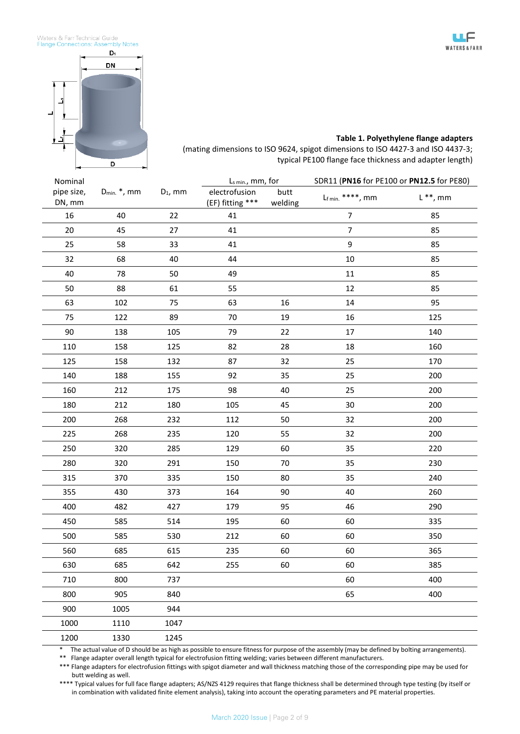



#### **Table 1. Polyethylene flange adapters**

(mating dimensions to ISO 9624, spigot dimensions to ISO 4427-3 and ISO 4437-3; typical PE100 flange face thickness and adapter length)

| Nominal              |                   |            | $L_{s,min}$ , mm, for             |                 | SDR11 (PN16 for PE100 or PN12.5 for PE80) |                     |
|----------------------|-------------------|------------|-----------------------------------|-----------------|-------------------------------------------|---------------------|
| pipe size,<br>DN, mm | $D_{min.} *$ , mm | $D_1$ , mm | electrofusion<br>(EF) fitting *** | butt<br>welding | $Lf$ min. ****, mm                        | $\mathsf{L}$ **, mm |
| 16                   | 40                | 22         | 41                                |                 | $\overline{7}$                            | 85                  |
| $20\,$               | 45                | 27         | 41                                |                 | $\overline{7}$                            | 85                  |
| 25                   | 58                | 33         | 41                                |                 | 9                                         | 85                  |
| 32                   | 68                | 40         | 44                                |                 | 10                                        | 85                  |
| 40                   | 78                | 50         | 49                                |                 | $11\,$                                    | 85                  |
| 50                   | 88                | 61         | 55                                |                 | 12                                        | 85                  |
| 63                   | 102               | 75         | 63                                | 16              | 14                                        | 95                  |
| 75                   | 122               | 89         | 70                                | 19              | 16                                        | 125                 |
| 90                   | 138               | 105        | 79                                | 22              | 17                                        | 140                 |
| 110                  | 158               | 125        | 82                                | 28              | 18                                        | 160                 |
| 125                  | 158               | 132        | 87                                | 32              | 25                                        | 170                 |
| 140                  | 188               | 155        | 92                                | 35              | 25                                        | 200                 |
| 160                  | 212               | 175        | 98                                | 40              | 25                                        | 200                 |
| 180                  | 212               | 180        | 105                               | 45              | 30                                        | 200                 |
| 200                  | 268               | 232        | 112                               | 50              | 32                                        | 200                 |
| 225                  | 268               | 235        | 120                               | 55              | 32                                        | 200                 |
| 250                  | 320               | 285        | 129                               | 60              | 35                                        | 220                 |
| 280                  | 320               | 291        | 150                               | 70              | 35                                        | 230                 |
| 315                  | 370               | 335        | 150                               | 80              | 35                                        | 240                 |
| 355                  | 430               | 373        | 164                               | 90              | 40                                        | 260                 |
| 400                  | 482               | 427        | 179                               | 95              | 46                                        | 290                 |
| 450                  | 585               | 514        | 195                               | 60              | 60                                        | 335                 |
| 500                  | 585               | 530        | 212                               | 60              | 60                                        | 350                 |
| 560                  | 685               | 615        | 235                               | 60              | 60                                        | 365                 |
| 630                  | 685               | 642        | 255                               | 60              | 60                                        | 385                 |
| 710                  | 800               | 737        |                                   |                 | 60                                        | 400                 |
| 800                  | 905               | 840        |                                   |                 | 65                                        | 400                 |
| 900                  | 1005              | 944        |                                   |                 |                                           |                     |
| 1000                 | 1110              | 1047       |                                   |                 |                                           |                     |
| 1200                 | 1330              | 1245       |                                   |                 |                                           |                     |

The actual value of D should be as high as possible to ensure fitness for purpose of the assembly (may be defined by bolting arrangements).

\*\* Flange adapter overall length typical for electrofusion fitting welding; varies between different manufacturers.

\*\*\* Flange adapters for electrofusion fittings with spigot diameter and wall thickness matching those of the corresponding pipe may be used for butt welding as well.

\*\*\*\* Typical values for full face flange adapters; AS/NZS 4129 requires that flange thickness shall be determined through type testing (by itself or in combination with validated finite element analysis), taking into account the operating parameters and PE material properties.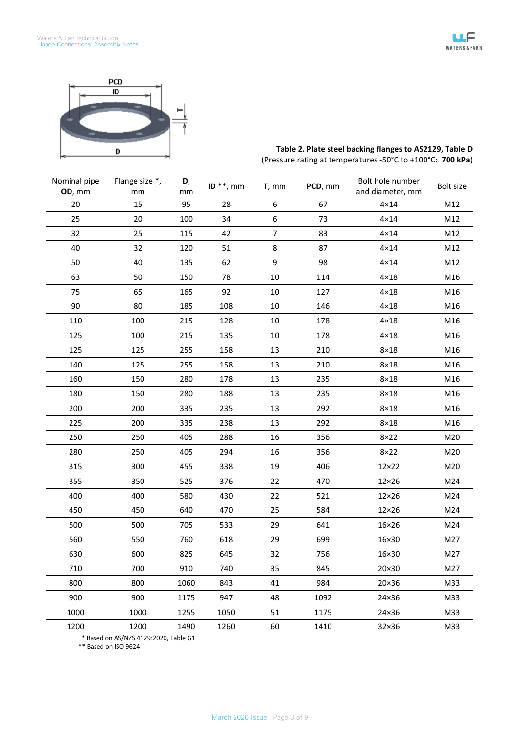

| Table 2. Plate steel backing flanges to AS2129, Table D    |  |
|------------------------------------------------------------|--|
| (Pressure rating at temperatures -50°C to +100°C: 700 kPa) |  |

| Nominal pipe<br>OD, mm | Flange size *,<br>mm | D,<br>mm | ID $**$ , mm | $T,$ mm          | PCD, mm | Bolt hole number<br>and diameter, mm | Bolt size |
|------------------------|----------------------|----------|--------------|------------------|---------|--------------------------------------|-----------|
| 20                     | 15                   | 95       | 28           | $\boldsymbol{6}$ | 67      | $4 \times 14$                        | M12       |
| 25                     | 20                   | 100      | 34           | 6                | 73      | $4 \times 14$                        | M12       |
| 32                     | 25                   | 115      | 42           | $\overline{7}$   | 83      | $4 \times 14$                        | M12       |
| 40                     | 32                   | 120      | 51           | 8                | 87      | $4 \times 14$                        | M12       |
| 50                     | 40                   | 135      | 62           | 9                | 98      | $4 \times 14$                        | M12       |
| 63                     | 50                   | 150      | 78           | 10               | 114     | $4 \times 18$                        | M16       |
| 75                     | 65                   | 165      | 92           | 10               | 127     | $4 \times 18$                        | M16       |
| 90                     | 80                   | 185      | 108          | 10               | 146     | $4 \times 18$                        | M16       |
| 110                    | 100                  | 215      | 128          | 10               | 178     | $4 \times 18$                        | M16       |
| 125                    | 100                  | 215      | 135          | 10               | 178     | $4 \times 18$                        | M16       |
| 125                    | 125                  | 255      | 158          | 13               | 210     | $8\times18$                          | M16       |
| 140                    | 125                  | 255      | 158          | 13               | 210     | $8\times18$                          | M16       |
| 160                    | 150                  | 280      | 178          | 13               | 235     | $8\times18$                          | M16       |
| 180                    | 150                  | 280      | 188          | 13               | 235     | $8\times18$                          | M16       |
| 200                    | 200                  | 335      | 235          | 13               | 292     | $8\times18$                          | M16       |
| 225                    | 200                  | 335      | 238          | 13               | 292     | $8\times18$                          | M16       |
| 250                    | 250                  | 405      | 288          | 16               | 356     | $8\times22$                          | M20       |
| 280                    | 250                  | 405      | 294          | 16               | 356     | $8\times22$                          | M20       |
| 315                    | 300                  | 455      | 338          | 19               | 406     | 12×22                                | M20       |
| 355                    | 350                  | 525      | 376          | 22               | 470     | $12\times26$                         | M24       |
| 400                    | 400                  | 580      | 430          | 22               | 521     | $12\times26$                         | M24       |
| 450                    | 450                  | 640      | 470          | 25               | 584     | $12\times26$                         | M24       |
| 500                    | 500                  | 705      | 533          | 29               | 641     | 16×26                                | M24       |
| 560                    | 550                  | 760      | 618          | 29               | 699     | 16×30                                | M27       |
| 630                    | 600                  | 825      | 645          | 32               | 756     | 16×30                                | M27       |
| 710                    | 700                  | 910      | 740          | 35               | 845     | 20×30                                | M27       |
| 800                    | 800                  | 1060     | 843          | 41               | 984     | 20×36                                | M33       |
| 900                    | 900                  | 1175     | 947          | 48               | 1092    | 24×36                                | M33       |
| 1000                   | 1000                 | 1255     | 1050         | 51               | 1175    | 24×36                                | M33       |
| 1200                   | 1200                 | 1490     | 1260         | 60               | 1410    | 32×36                                | M33       |

 \* Based on AS/NZS 4129:2020, Table G1 \*\* Based on ISO 9624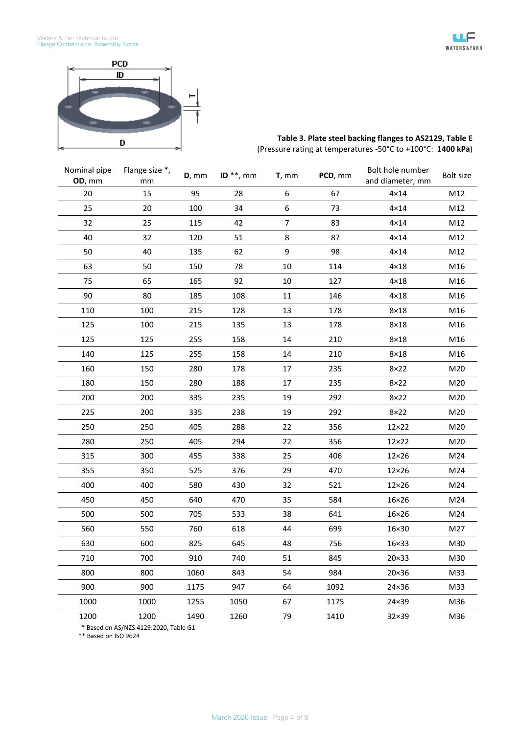

# **Table 3. Plate steel backing flanges to AS2129, Table E** (Pressure rating at temperatures -50°C to +100°C: **1400 kPa**)

| Nominal pipe<br>OD, mm | Flange size *,<br>mm | $D,$ mm | ID $**$ , mm | $T,$ mm | PCD, mm | Bolt hole number<br>and diameter, mm | Bolt size |
|------------------------|----------------------|---------|--------------|---------|---------|--------------------------------------|-----------|
| 20                     | 15                   | 95      | 28           | 6       | 67      | $4 \times 14$                        | M12       |
| 25                     | 20                   | 100     | 34           | 6       | 73      | $4 \times 14$                        | M12       |
| 32                     | 25                   | 115     | 42           | 7       | 83      | $4 \times 14$                        | M12       |
| 40                     | 32                   | 120     | 51           | 8       | 87      | $4 \times 14$                        | M12       |
| 50                     | 40                   | 135     | 62           | 9       | 98      | $4 \times 14$                        | M12       |
| 63                     | 50                   | 150     | 78           | $10\,$  | 114     | $4 \times 18$                        | M16       |
| 75                     | 65                   | 165     | 92           | 10      | 127     | $4\times18$                          | M16       |
| 90                     | 80                   | 185     | 108          | 11      | 146     | $4 \times 18$                        | M16       |
| 110                    | 100                  | 215     | 128          | 13      | 178     | $8\times18$                          | M16       |
| 125                    | 100                  | 215     | 135          | 13      | 178     | $8\times18$                          | M16       |
| 125                    | 125                  | 255     | 158          | 14      | 210     | $8\times18$                          | M16       |
| 140                    | 125                  | 255     | 158          | 14      | 210     | $8\times18$                          | M16       |
| 160                    | 150                  | 280     | 178          | 17      | 235     | $8\times22$                          | M20       |
| 180                    | 150                  | 280     | 188          | 17      | 235     | $8\times22$                          | M20       |
| 200                    | 200                  | 335     | 235          | 19      | 292     | $8\times22$                          | M20       |
| 225                    | 200                  | 335     | 238          | 19      | 292     | $8\times22$                          | M20       |
| 250                    | 250                  | 405     | 288          | 22      | 356     | $12\times22$                         | M20       |
| 280                    | 250                  | 405     | 294          | 22      | 356     | $12\times22$                         | M20       |
| 315                    | 300                  | 455     | 338          | 25      | 406     | $12\times26$                         | M24       |
| 355                    | 350                  | 525     | 376          | 29      | 470     | $12\times26$                         | M24       |
| 400                    | 400                  | 580     | 430          | 32      | 521     | $12\times26$                         | M24       |
| 450                    | 450                  | 640     | 470          | 35      | 584     | $16\times26$                         | M24       |
| 500                    | 500                  | 705     | 533          | 38      | 641     | 16×26                                | M24       |
| 560                    | 550                  | 760     | 618          | 44      | 699     | 16×30                                | M27       |
| 630                    | 600                  | 825     | 645          | 48      | 756     | $16 \times 33$                       | M30       |
| 710                    | 700                  | 910     | 740          | 51      | 845     | 20×33                                | M30       |
| 800                    | 800                  | 1060    | 843          | 54      | 984     | 20×36                                | M33       |
| 900                    | 900                  | 1175    | 947          | 64      | 1092    | 24×36                                | M33       |
| 1000                   | 1000                 | 1255    | 1050         | 67      | 1175    | 24×39                                | M36       |
| 1200                   | 1200                 | 1490    | 1260         | 79      | 1410    | 32×39                                | M36       |

\* Based on AS/NZS 4129:2020, Table G1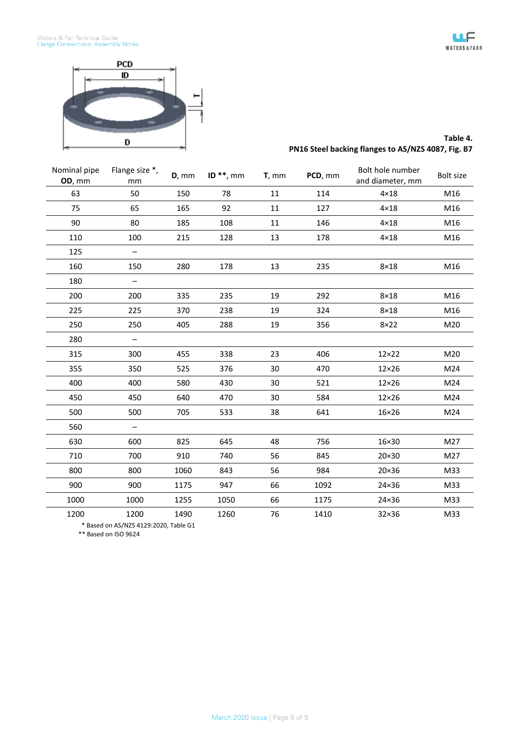



## **Table 4. PN16 Steel backing flanges to AS/NZS 4087, Fig. B7**

| Nominal pipe<br>OD, mm | Flange size *,<br>mm     | $D,$ mm | ID $**$ , mm | $T,$ mm | PCD, mm | Bolt hole number<br>and diameter, mm | Bolt size |
|------------------------|--------------------------|---------|--------------|---------|---------|--------------------------------------|-----------|
| 63                     | 50                       | 150     | 78           | 11      | 114     | $4 \times 18$                        | M16       |
| 75                     | 65                       | 165     | 92           | 11      | 127     | $4 \times 18$                        | M16       |
| 90                     | 80                       | 185     | 108          | 11      | 146     | $4 \times 18$                        | M16       |
| 110                    | 100                      | 215     | 128          | 13      | 178     | $4 \times 18$                        | M16       |
| 125                    |                          |         |              |         |         |                                      |           |
| 160                    | 150                      | 280     | 178          | 13      | 235     | $8\times18$                          | M16       |
| 180                    | $\qquad \qquad -$        |         |              |         |         |                                      |           |
| 200                    | 200                      | 335     | 235          | 19      | 292     | $8\times18$                          | M16       |
| 225                    | 225                      | 370     | 238          | 19      | 324     | $8\times18$                          | M16       |
| 250                    | 250                      | 405     | 288          | 19      | 356     | $8\times22$                          | M20       |
| 280                    | $\overline{\phantom{0}}$ |         |              |         |         |                                      |           |
| 315                    | 300                      | 455     | 338          | 23      | 406     | 12×22                                | M20       |
| 355                    | 350                      | 525     | 376          | 30      | 470     | $12\times26$                         | M24       |
| 400                    | 400                      | 580     | 430          | 30      | 521     | $12\times26$                         | M24       |
| 450                    | 450                      | 640     | 470          | 30      | 584     | $12\times26$                         | M24       |
| 500                    | 500                      | 705     | 533          | 38      | 641     | $16\times26$                         | M24       |
| 560                    | -                        |         |              |         |         |                                      |           |
| 630                    | 600                      | 825     | 645          | 48      | 756     | 16×30                                | M27       |
| 710                    | 700                      | 910     | 740          | 56      | 845     | 20×30                                | M27       |
| 800                    | 800                      | 1060    | 843          | 56      | 984     | 20×36                                | M33       |
| 900                    | 900                      | 1175    | 947          | 66      | 1092    | 24×36                                | M33       |
| 1000                   | 1000                     | 1255    | 1050         | 66      | 1175    | 24×36                                | M33       |
| 1200                   | 1200                     | 1490    | 1260         | 76      | 1410    | 32×36                                | M33       |

\* Based on AS/NZS 4129:2020, Table G1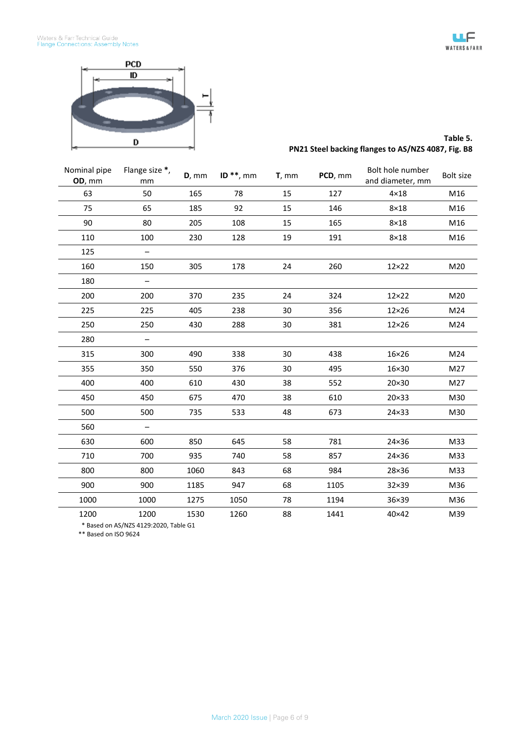

### **Table 5. PN21 Steel backing flanges to AS/NZS 4087, Fig. B8**

| Nominal pipe<br>OD, mm | Flange size *,<br>mm     | $D,$ mm | ID $**$ , mm | $T,$ mm | PCD, mm | Bolt hole number<br>and diameter, mm | Bolt size |
|------------------------|--------------------------|---------|--------------|---------|---------|--------------------------------------|-----------|
| 63                     | 50                       | 165     | 78           | 15      | 127     | $4 \times 18$                        | M16       |
| 75                     | 65                       | 185     | 92           | 15      | 146     | $8\times18$                          | M16       |
| 90                     | 80                       | 205     | 108          | 15      | 165     | $8\times18$                          | M16       |
| 110                    | 100                      | 230     | 128          | 19      | 191     | $8\times18$                          | M16       |
| 125                    |                          |         |              |         |         |                                      |           |
| 160                    | 150                      | 305     | 178          | 24      | 260     | $12\times22$                         | M20       |
| 180                    | $\overline{\phantom{0}}$ |         |              |         |         |                                      |           |
| 200                    | 200                      | 370     | 235          | 24      | 324     | $12\times22$                         | M20       |
| 225                    | 225                      | 405     | 238          | 30      | 356     | $12\times26$                         | M24       |
| 250                    | 250                      | 430     | 288          | 30      | 381     | $12\times26$                         | M24       |
| 280                    | -                        |         |              |         |         |                                      |           |
| 315                    | 300                      | 490     | 338          | 30      | 438     | 16×26                                | M24       |
| 355                    | 350                      | 550     | 376          | 30      | 495     | 16×30                                | M27       |
| 400                    | 400                      | 610     | 430          | 38      | 552     | 20×30                                | M27       |
| 450                    | 450                      | 675     | 470          | 38      | 610     | 20×33                                | M30       |
| 500                    | 500                      | 735     | 533          | 48      | 673     | 24×33                                | M30       |
| 560                    | —                        |         |              |         |         |                                      |           |
| 630                    | 600                      | 850     | 645          | 58      | 781     | 24×36                                | M33       |
| 710                    | 700                      | 935     | 740          | 58      | 857     | 24×36                                | M33       |
| 800                    | 800                      | 1060    | 843          | 68      | 984     | 28×36                                | M33       |
| 900                    | 900                      | 1185    | 947          | 68      | 1105    | 32×39                                | M36       |
| 1000                   | 1000                     | 1275    | 1050         | 78      | 1194    | 36×39                                | M36       |
| 1200                   | 1200                     | 1530    | 1260         | 88      | 1441    | 40×42                                | M39       |

\* Based on AS/NZS 4129:2020, Table G1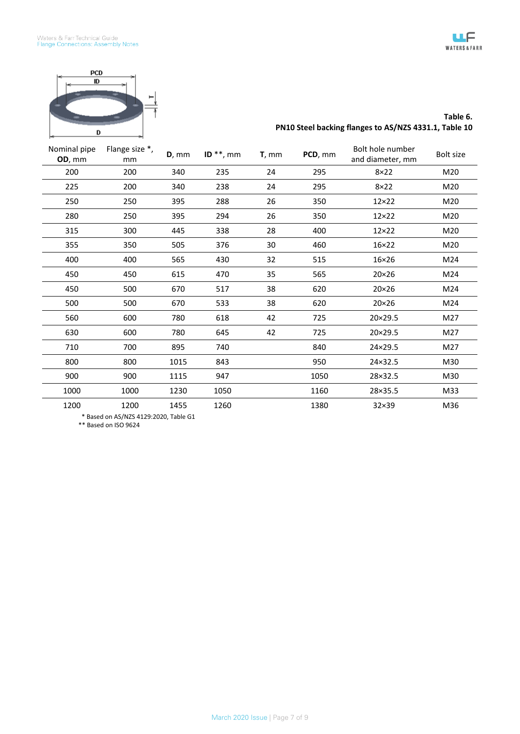



# **Table 6. PN10 Steel backing flanges to AS/NZS 4331.1, Table 10**

| Nominal pipe<br>OD, mm | Flange size *,<br>mm | $D,$ mm | ID $**$ , mm | $T,$ mm | PCD, mm | Bolt hole number<br>and diameter, mm | Bolt size |
|------------------------|----------------------|---------|--------------|---------|---------|--------------------------------------|-----------|
| 200                    | 200                  | 340     | 235          | 24      | 295     | $8\times22$                          | M20       |
| 225                    | 200                  | 340     | 238          | 24      | 295     | $8\times22$                          | M20       |
| 250                    | 250                  | 395     | 288          | 26      | 350     | $12\times22$                         | M20       |
| 280                    | 250                  | 395     | 294          | 26      | 350     | $12\times22$                         | M20       |
| 315                    | 300                  | 445     | 338          | 28      | 400     | $12\times22$                         | M20       |
| 355                    | 350                  | 505     | 376          | 30      | 460     | 16×22                                | M20       |
| 400                    | 400                  | 565     | 430          | 32      | 515     | $16\times26$                         | M24       |
| 450                    | 450                  | 615     | 470          | 35      | 565     | $20\times26$                         | M24       |
| 450                    | 500                  | 670     | 517          | 38      | 620     | $20\times26$                         | M24       |
| 500                    | 500                  | 670     | 533          | 38      | 620     | $20\times26$                         | M24       |
| 560                    | 600                  | 780     | 618          | 42      | 725     | 20×29.5                              | M27       |
| 630                    | 600                  | 780     | 645          | 42      | 725     | 20×29.5                              | M27       |
| 710                    | 700                  | 895     | 740          |         | 840     | 24×29.5                              | M27       |
| 800                    | 800                  | 1015    | 843          |         | 950     | 24×32.5                              | M30       |
| 900                    | 900                  | 1115    | 947          |         | 1050    | 28×32.5                              | M30       |
| 1000                   | 1000                 | 1230    | 1050         |         | 1160    | 28×35.5                              | M33       |
| 1200                   | 1200                 | 1455    | 1260         |         | 1380    | 32×39                                | M36       |

\* Based on AS/NZS 4129:2020, Table G1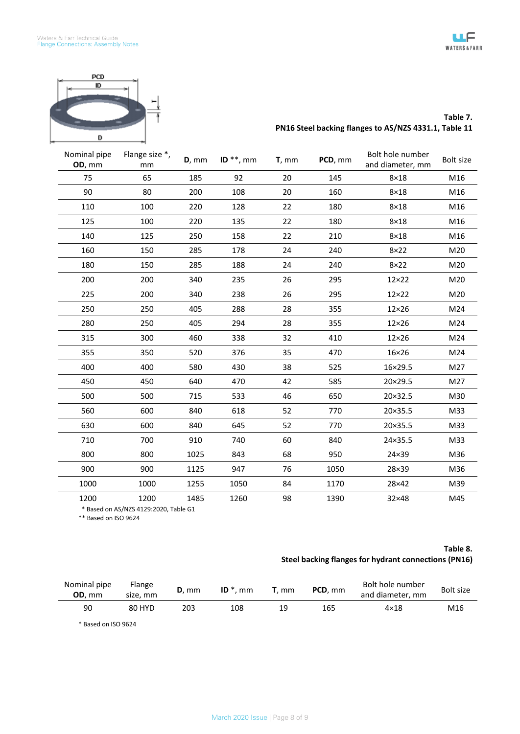



#### **Table 7. PN16 Steel backing flanges to AS/NZS 4331.1, Table 11**

| Nominal pipe<br>OD, mm | Flange size *,<br>mm | $D,$ mm | ID $**$ , mm | $T,$ mm | PCD, mm | Bolt hole number<br>and diameter, mm | Bolt size |
|------------------------|----------------------|---------|--------------|---------|---------|--------------------------------------|-----------|
| 75                     | 65                   | 185     | 92           | 20      | 145     | $8\times18$                          | M16       |
| 90                     | 80                   | 200     | 108          | 20      | 160     | $8\times18$                          | M16       |
| 110                    | 100                  | 220     | 128          | 22      | 180     | $8\times18$                          | M16       |
| 125                    | 100                  | 220     | 135          | 22      | 180     | $8\times18$                          | M16       |
| 140                    | 125                  | 250     | 158          | 22      | 210     | $8\times18$                          | M16       |
| 160                    | 150                  | 285     | 178          | 24      | 240     | $8\times22$                          | M20       |
| 180                    | 150                  | 285     | 188          | 24      | 240     | $8\times22$                          | M20       |
| 200                    | 200                  | 340     | 235          | 26      | 295     | $12\times22$                         | M20       |
| 225                    | 200                  | 340     | 238          | 26      | 295     | $12\times22$                         | M20       |
| 250                    | 250                  | 405     | 288          | 28      | 355     | $12\times26$                         | M24       |
| 280                    | 250                  | 405     | 294          | 28      | 355     | $12\times26$                         | M24       |
| 315                    | 300                  | 460     | 338          | 32      | 410     | $12\times26$                         | M24       |
| 355                    | 350                  | 520     | 376          | 35      | 470     | $16\times26$                         | M24       |
| 400                    | 400                  | 580     | 430          | 38      | 525     | 16×29.5                              | M27       |
| 450                    | 450                  | 640     | 470          | 42      | 585     | 20×29.5                              | M27       |
| 500                    | 500                  | 715     | 533          | 46      | 650     | 20×32.5                              | M30       |
| 560                    | 600                  | 840     | 618          | 52      | 770     | 20×35.5                              | M33       |
| 630                    | 600                  | 840     | 645          | 52      | 770     | 20×35.5                              | M33       |
| 710                    | 700                  | 910     | 740          | 60      | 840     | 24×35.5                              | M33       |
| 800                    | 800                  | 1025    | 843          | 68      | 950     | 24×39                                | M36       |
| 900                    | 900                  | 1125    | 947          | 76      | 1050    | 28×39                                | M36       |
| 1000                   | 1000                 | 1255    | 1050         | 84      | 1170    | 28×42                                | M39       |
| 1200                   | 1200                 | 1485    | 1260         | 98      | 1390    | 32×48                                | M45       |

\* Based on AS/NZS 4129:2020, Table G1

\*\* Based on ISO 9624

## **Table 8. Steel backing flanges for hydrant connections (PN16)**

| Nominal pipe<br>OD. mm | Flange<br>size. mm | $D.$ mm | $ID^*$<br>mm | mm. | PCD, mm | Bolt hole number<br>and diameter, mm | <b>Bolt size</b> |
|------------------------|--------------------|---------|--------------|-----|---------|--------------------------------------|------------------|
| 90                     | 80 HYD             | 203     | 108          | 19  | 165     | $4\times18$                          | M16              |